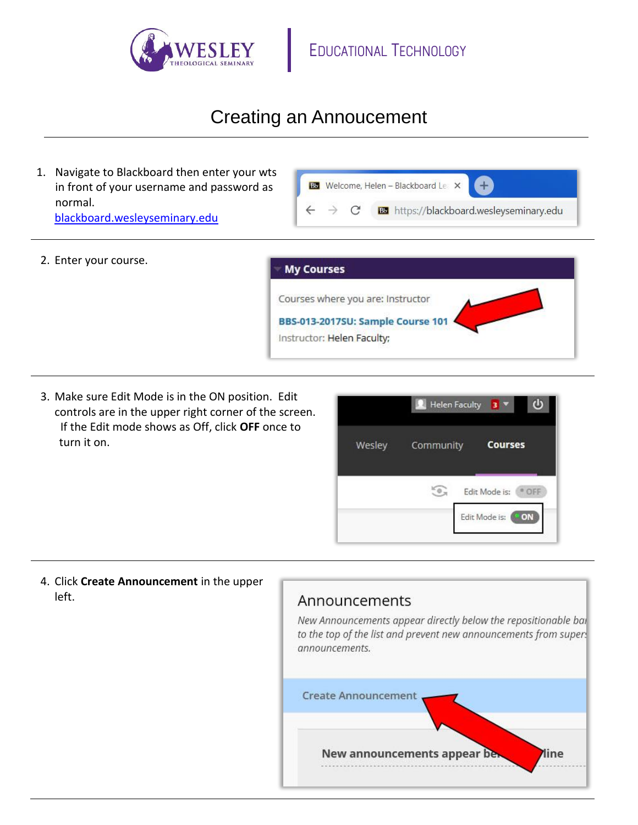

## Creating an Annoucement

1. Navigate to Blackboard then enter your wts in front of your username and password as normal. [blackboard.wesleyseminary.edu](https://blackboard.wesleyseminary.edu/)

|  |  | <b>BU</b> Welcome, Helen - Blackboard Lee X |                                                 |
|--|--|---------------------------------------------|-------------------------------------------------|
|  |  |                                             | <b>B3</b> https://blackboard.wesleyseminary.edu |

2. Enter your course.



3. Make sure Edit Mode is in the ON position. Edit controls are in the upper right corner of the screen. If the Edit mode shows as Off, click **OFF** once to turn it on.



line

4. Click **Create Announcement** in the upper left.Announcements New Announcements appear directly below the repositionable bal to the top of the list and prevent new announcements from super: announcements. **Create Announcement** New announcements appear be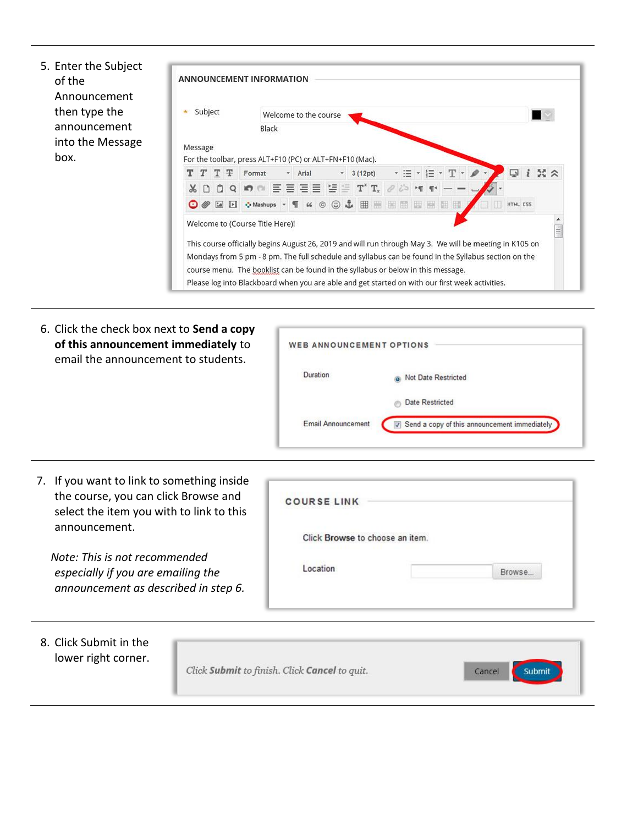5. Enter the Subject of the Announcement then type the announcement into the Message box.

| Subject          | Welcome to the course                                                  |                                                                                                         |           |  |  |  |
|------------------|------------------------------------------------------------------------|---------------------------------------------------------------------------------------------------------|-----------|--|--|--|
|                  | Black                                                                  |                                                                                                         |           |  |  |  |
| Message          |                                                                        |                                                                                                         |           |  |  |  |
|                  | For the toolbar, press ALT+F10 (PC) or ALT+FN+F10 (Mac).               |                                                                                                         |           |  |  |  |
| T T <del>T</del> | Format<br>* Arial                                                      | $=$<br>는 -<br>3(12pt)                                                                                   | 55 2<br>⋑ |  |  |  |
|                  | $D$ $D$ $Q$ $M$ $m$ $E$ $E$ $E$ $E$ $E$ $E$ $E$ $E$ $T$ $T_x$ $\theta$ |                                                                                                         |           |  |  |  |
|                  |                                                                        | <b> ■ 国 ◆ Mashups • 1 6 © © ↓ 田 田 田 田 田 田 田 田</b>                                                       | HTML CSS  |  |  |  |
|                  | Welcome to (Course Title Here)!                                        |                                                                                                         |           |  |  |  |
|                  |                                                                        | This course officially begins August 26, 2019 and will run through May 3. We will be meeting in K105 on | iii.      |  |  |  |

6. Click the check box next to **Send a copy of this announcement immediately** to email the announcement to students.

| Duration | Not Date Restricted<br>രി |
|----------|---------------------------|
|          | Date Restricted           |

7. If you want to link to something inside the course, you can click Browse and select the item you with to link to this announcement.

 *Note: This is not recommended especially if you are emailing the announcement as described in step 6.*

| <b>COURSE LINK</b>              |  |
|---------------------------------|--|
|                                 |  |
| Click Browse to choose an item. |  |

| 8. Click Submit in the<br>lower right corner. | Click Submit to finish. Click Cancel to quit. | <b>Submit</b><br>Cancel |
|-----------------------------------------------|-----------------------------------------------|-------------------------|
|                                               |                                               |                         |